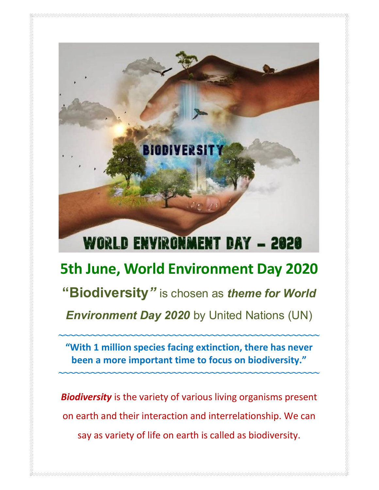

say as variety of life on earth is called as biodiversity.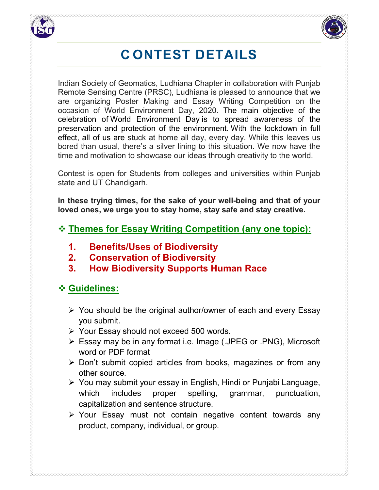



# C ONTEST DETAILS

Indian Society of Geomatics, Ludhiana Chapter in collaboration with Punjab Remote Sensing Centre (PRSC), Ludhiana is pleased to announce that we are organizing Poster Making and Essay Writing Competition on the occasion of World Environment Day, 2020. The main objective of the celebration of World Environment Day is to spread awareness of the preservation and protection of the environment. With the lockdown in full effect, all of us are stuck at home all day, every day. While this leaves us bored than usual, there's a silver lining to this situation. We now have the time and motivation to showcase our ideas through creativity to the world.

Contest is open for Students from colleges and universities within Punjab state and UT Chandigarh.

In these trying times, for the sake of your well-being and that of your loved ones, we urge you to stay home, stay safe and stay creative.

#### Themes for Essay Writing Competition (any one topic):

- 1. Benefits/Uses of Biodiversity
- 2. Conservation of Biodiversity
- 3. How Biodiversity Supports Human Race

## Guidelines:

- You should be the original author/owner of each and every Essay you submit.
- Your Essay should not exceed 500 words.
- Essay may be in any format i.e. Image (.JPEG or .PNG), Microsoft word or PDF format
- $\triangleright$  Don't submit copied articles from books, magazines or from any other source.
- You may submit your essay in English, Hindi or Punjabi Language, which includes proper spelling, grammar, punctuation, capitalization and sentence structure.
- Your Essay must not contain negative content towards any product, company, individual, or group.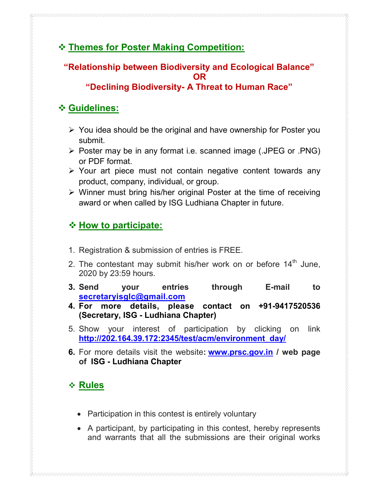## Themes for Poster Making Competition:

## "Relationship between Biodiversity and Ecological Balance" OR

#### "Declining Biodiversity- A Threat to Human Race"

#### Guidelines:

- $\triangleright$  You idea should be the original and have ownership for Poster you submit.
- Poster may be in any format i.e. scanned image (.JPEG or .PNG) or PDF format.
- $\triangleright$  Your art piece must not contain negative content towards any product, company, individual, or group.
- $\triangleright$  Winner must bring his/her original Poster at the time of receiving award or when called by ISG Ludhiana Chapter in future.

## $\div$  How to participate:

- 1. Registration & submission of entries is FREE.
- 2. The contestant may submit his/her work on or before  $14<sup>th</sup>$  June, 2020 by 23:59 hours.
- 3. Send your entries through E-mail to secretaryisglc@gmail.com
- 4. For more details, please contact on +91-9417520536 (Secretary, ISG - Ludhiana Chapter)
- 5. Show your interest of participation by clicking on link http://202.164.39.172:2345/test/acm/environment\_day/
- 6. For more details visit the website: **www.prsc.gov.in** / web page of ISG - Ludhiana Chapter

# **↑ Rules**

- Participation in this contest is entirely voluntary
- A participant, by participating in this contest, hereby represents and warrants that all the submissions are their original works